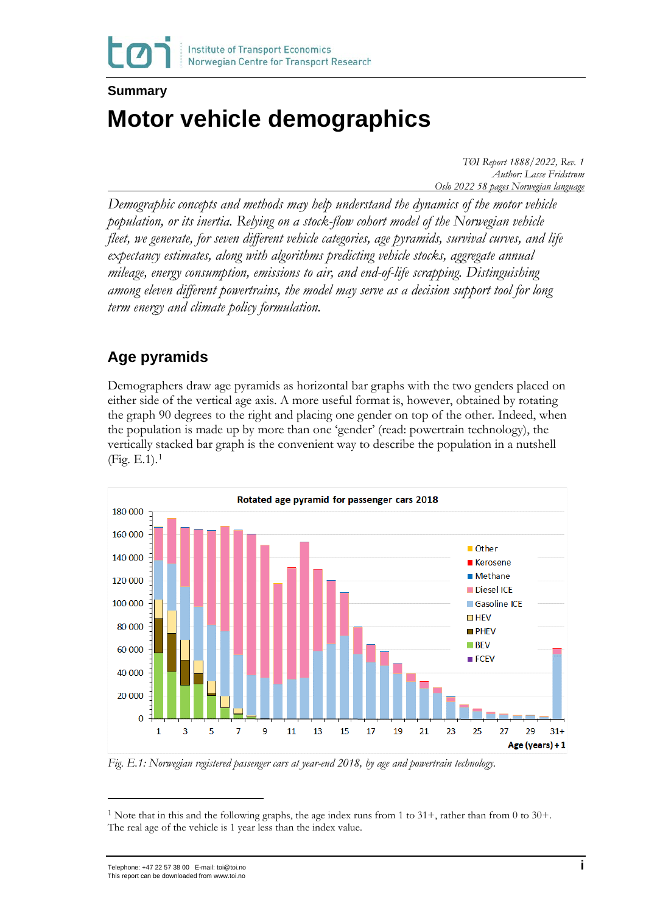#### **Summary**

# **Motor vehicle demographics**

*TØI Report 1888/2022, Rev. 1 Author: Lasse Fridstrøm Oslo 2022 58 pages Norwegian language*

*Demographic concepts and methods may help understand the dynamics of the motor vehicle population, or its inertia. Relying on a stock-flow cohort model of the Norwegian vehicle fleet, we generate, for seven different vehicle categories, age pyramids, survival curves, and life expectancy estimates, along with algorithms predicting vehicle stocks, aggregate annual mileage, energy consumption, emissions to air, and end-of-life scrapping. Distinguishing among eleven different powertrains, the model may serve as a decision support tool for long term energy and climate policy formulation.* 

## **Age pyramids**

Demographers draw age pyramids as horizontal bar graphs with the two genders placed on either side of the vertical age axis. A more useful format is, however, obtained by rotating the graph 90 degrees to the right and placing one gender on top of the other. Indeed, when the population is made up by more than one 'gender' (read: powertrain technology), the vertically stacked bar graph is the convenient way to describe the population in a nutshell  $(Fig. E.1).<sup>1</sup>$  $(Fig. E.1).<sup>1</sup>$  $(Fig. E.1).<sup>1</sup>$ 



*Fig. E.1: Norwegian registered passenger cars at year-end 2018, by age and powertrain technology.*

<span id="page-0-0"></span><sup>&</sup>lt;sup>1</sup> Note that in this and the following graphs, the age index runs from 1 to  $31+$ , rather than from 0 to  $30+$ . The real age of the vehicle is 1 year less than the index value.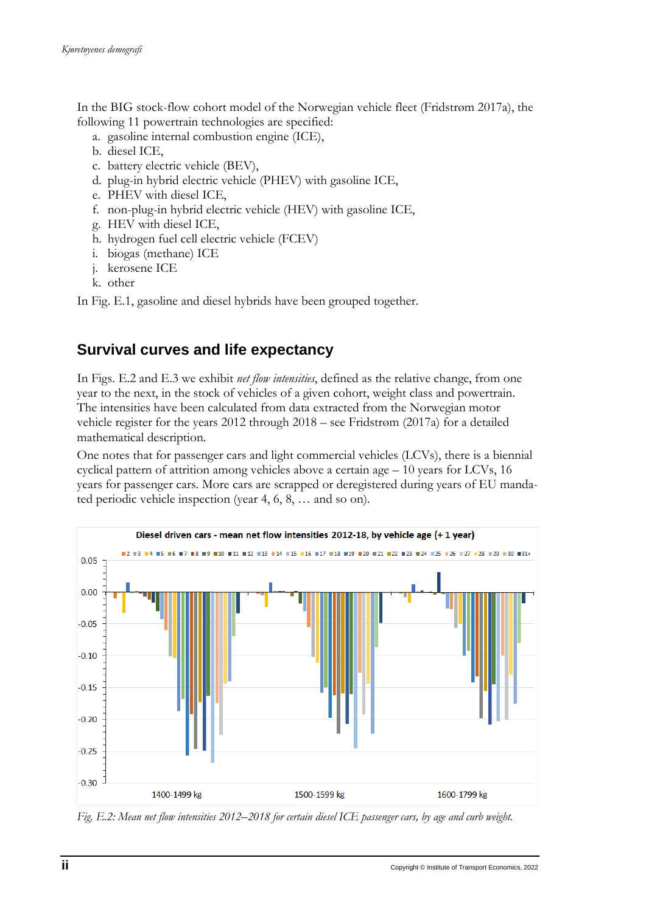In the BIG stock-flow cohort model of the Norwegian vehicle fleet (Fridstrøm 2017a), the following 11 powertrain technologies are specified:

- a. gasoline internal combustion engine (ICE),
- b. diesel ICE,
- c. battery electric vehicle (BEV),
- d. plug-in hybrid electric vehicle (PHEV) with gasoline ICE,
- e. PHEV with diesel ICE,
- f. non-plug-in hybrid electric vehicle (HEV) with gasoline ICE,
- g. HEV with diesel ICE,
- h. hydrogen fuel cell electric vehicle (FCEV)
- i. biogas (methane) ICE
- j. kerosene ICE
- k. other

In Fig. E.1, gasoline and diesel hybrids have been grouped together.

### **Survival curves and life expectancy**

In Figs. E.2 and E.3 we exhibit *net flow intensities*, defined as the relative change, from one year to the next, in the stock of vehicles of a given cohort, weight class and powertrain. The intensities have been calculated from data extracted from the Norwegian motor vehicle register for the years 2012 through 2018 – see Fridstrøm (2017a) for a detailed mathematical description.

One notes that for passenger cars and light commercial vehicles (LCVs), there is a biennial cyclical pattern of attrition among vehicles above a certain age  $-10$  years for LCVs, 16 years for passenger cars. More cars are scrapped or deregistered during years of EU mandated periodic vehicle inspection (year 4, 6, 8, … and so on).



*Fig. E.2: Mean net flow intensities 2012*–*2018 for certain diesel ICE passenger cars, by age and curb weight.*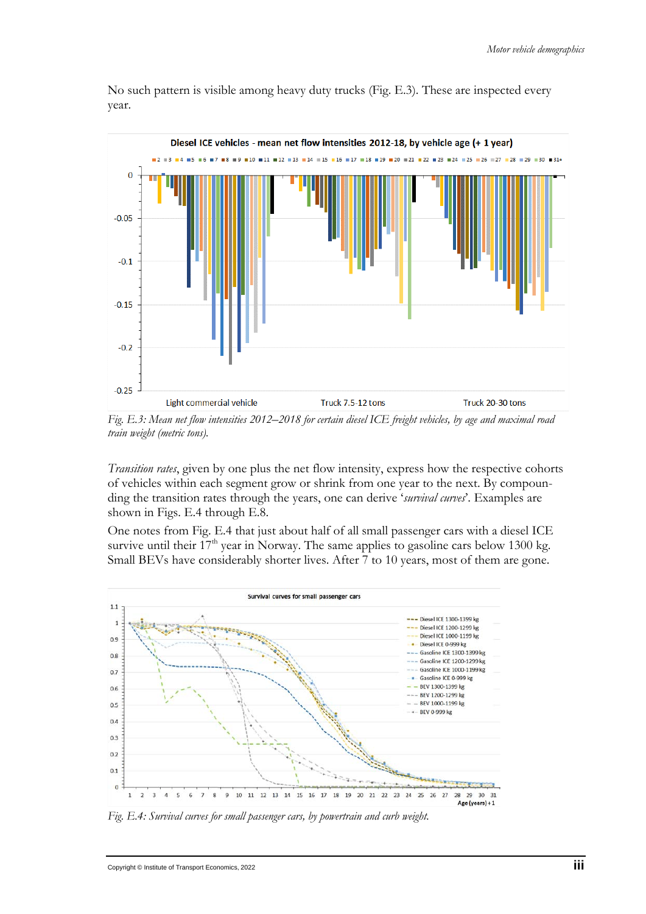No such pattern is visible among heavy duty trucks (Fig. E.3). These are inspected every year.



*Fig. E.3: Mean net flow intensities 2012*–*2018 for certain diesel ICE freight vehicles, by age and maximal road train weight (metric tons).*

*Transition rates*, given by one plus the net flow intensity, express how the respective cohorts of vehicles within each segment grow or shrink from one year to the next. By compounding the transition rates through the years, one can derive '*survival curves*'. Examples are shown in Figs. E.4 through E.8.

One notes from Fig. E.4 that just about half of all small passenger cars with a diesel ICE survive until their 17<sup>th</sup> year in Norway. The same applies to gasoline cars below 1300 kg. Small BEVs have considerably shorter lives. After 7 to 10 years, most of them are gone.



*Fig. E.4: Survival curves for small passenger cars, by powertrain and curb weight.*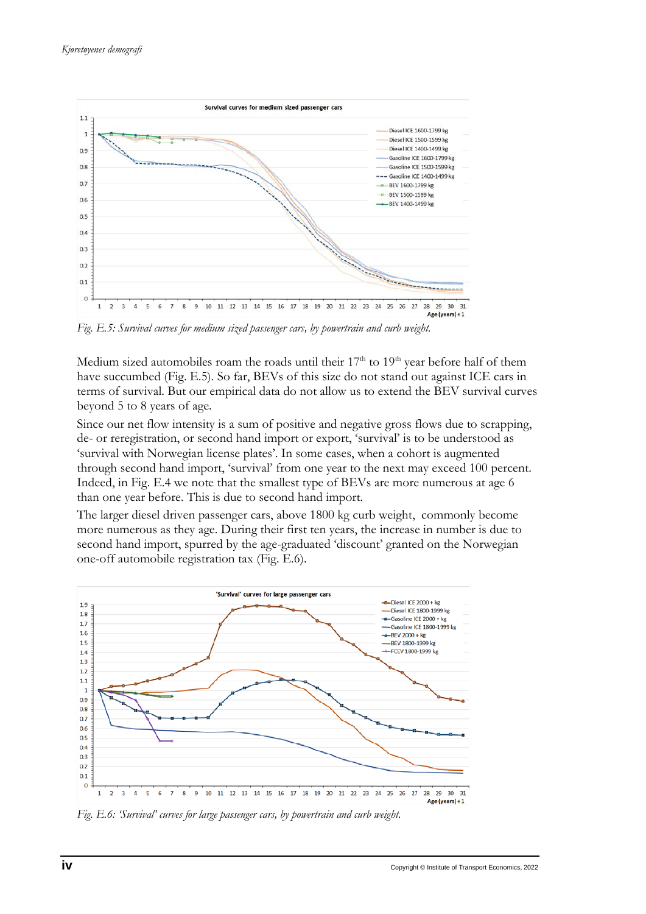

*Fig. E.5: Survival curves for medium sized passenger cars, by powertrain and curb weight.*

Medium sized automobiles roam the roads until their  $17<sup>th</sup>$  to  $19<sup>th</sup>$  year before half of them have succumbed (Fig. E.5). So far, BEVs of this size do not stand out against ICE cars in terms of survival. But our empirical data do not allow us to extend the BEV survival curves beyond 5 to 8 years of age.

Since our net flow intensity is a sum of positive and negative gross flows due to scrapping, de- or reregistration, or second hand import or export, 'survival' is to be understood as 'survival with Norwegian license plates'. In some cases, when a cohort is augmented through second hand import, 'survival' from one year to the next may exceed 100 percent. Indeed, in Fig. E.4 we note that the smallest type of BEVs are more numerous at age 6 than one year before. This is due to second hand import.

The larger diesel driven passenger cars, above 1800 kg curb weight, commonly become more numerous as they age. During their first ten years, the increase in number is due to second hand import, spurred by the age-graduated 'discount' granted on the Norwegian one-off automobile registration tax (Fig. E.6).



*Fig. E.6: 'Survival' curves for large passenger cars, by powertrain and curb weight.*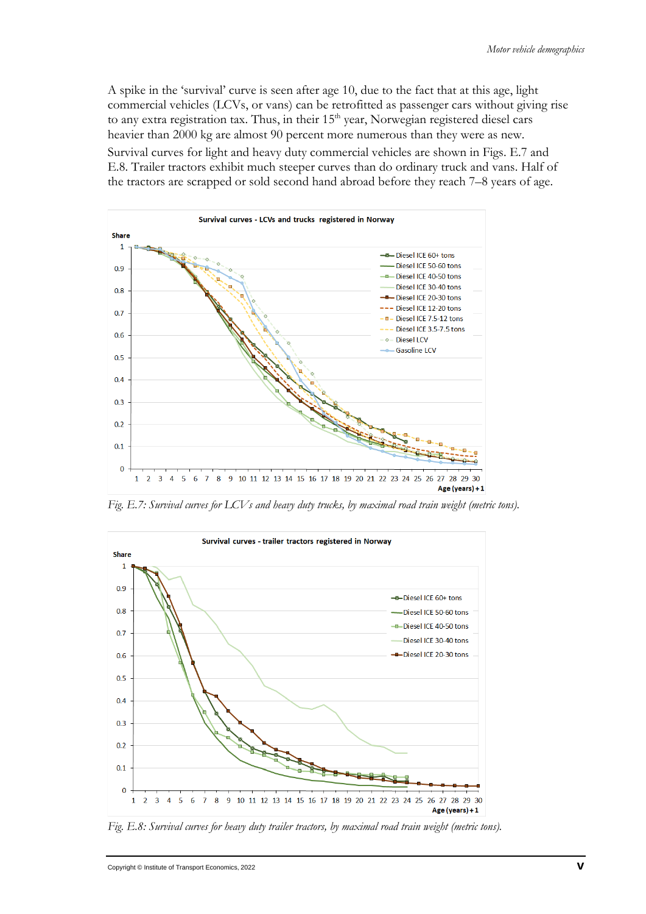A spike in the 'survival' curve is seen after age 10, due to the fact that at this age, light commercial vehicles (LCVs, or vans) can be retrofitted as passenger cars without giving rise to any extra registration tax. Thus, in their  $15<sup>th</sup>$  year, Norwegian registered diesel cars heavier than 2000 kg are almost 90 percent more numerous than they were as new.

Survival curves for light and heavy duty commercial vehicles are shown in Figs. E.7 and E.8. Trailer tractors exhibit much steeper curves than do ordinary truck and vans. Half of the tractors are scrapped or sold second hand abroad before they reach 7–8 years of age.



*Fig. E.7: Survival curves for LCVs and heavy duty trucks, by maximal road train weight (metric tons).*



*Fig. E.8: Survival curves for heavy duty trailer tractors, by maximal road train weight (metric tons).*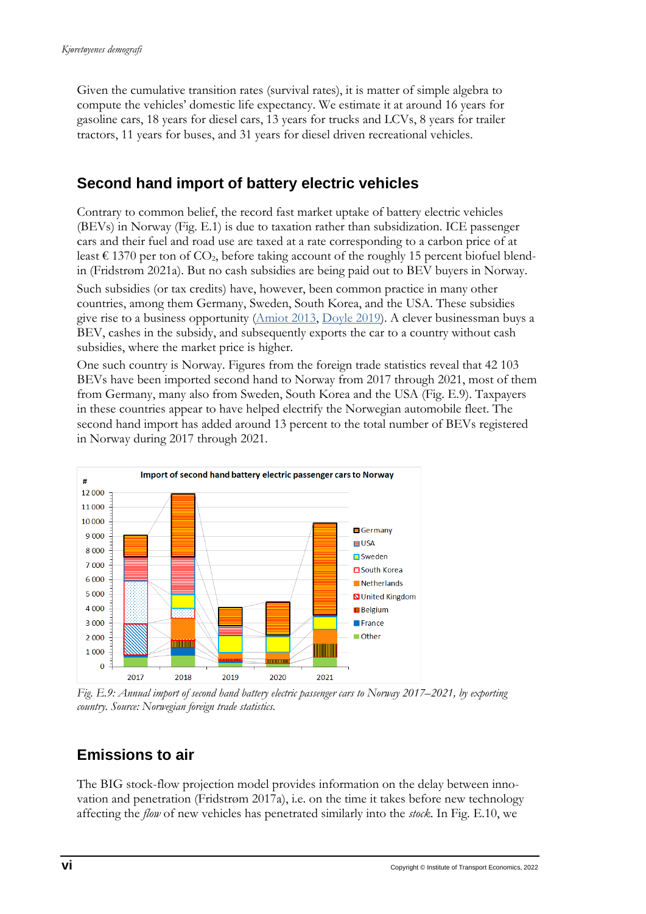Given the cumulative transition rates (survival rates), it is matter of simple algebra to compute the vehicles' domestic life expectancy. We estimate it at around 16 years for gasoline cars, 18 years for diesel cars, 13 years for trucks and LCVs, 8 years for trailer tractors, 11 years for buses, and 31 years for diesel driven recreational vehicles.

## **Second hand import of battery electric vehicles**

Contrary to common belief, the record fast market uptake of battery electric vehicles (BEVs) in Norway (Fig. E.1) is due to taxation rather than subsidization. ICE passenger cars and their fuel and road use are taxed at a rate corresponding to a carbon price of at least  $\epsilon$  1370 per ton of CO<sub>2</sub>, before taking account of the roughly 15 percent biofuel blendin (Fridstrøm 2021a). But no cash subsidies are being paid out to BEV buyers in Norway. Such subsidies (or tax credits) have, however, been common practice in many other countries, among them Germany, Sweden, South Korea, and the USA. These subsidies give rise to a business opportunity [\(Amiot 2013,](https://www.lesechos.fr/2013/09/quand-letat-francais-subventionne-les-voitures-electriques-en-norvege-344059) [Doyle 2019\)](https://www.reuters.com/article/us-autos-norway-insight/from-california-to-oslo-foreign-subsidies-fuel-norways-e-car-boom-for-now-idUSKCN1R20HN?feedType=RSS&feedName=technologyNews&utm_source=feedburner&utm_medium=feed&utm_campaign=Feed%3A+reuters%2FtechnologyNews+%28Reuters+Technology+News%29). A clever businessman buys a BEV, cashes in the subsidy, and subsequently exports the car to a country without cash subsidies, where the market price is higher.

One such country is Norway. Figures from the foreign trade statistics reveal that 42 103 BEVs have been imported second hand to Norway from 2017 through 2021, most of them from Germany, many also from Sweden, South Korea and the USA (Fig. E.9). Taxpayers in these countries appear to have helped electrify the Norwegian automobile fleet. The second hand import has added around 13 percent to the total number of BEVs registered in Norway during 2017 through 2021.



*Fig. E.9: Annual import of second hand battery electric passenger cars to Norway 2017–2021, by exporting country. Source: Norwegian foreign trade statistics.* 

## **Emissions to air**

The BIG stock-flow projection model provides information on the delay between innovation and penetration (Fridstrøm 2017a), i.e. on the time it takes before new technology affecting the *flow* of new vehicles has penetrated similarly into the *stock*. In Fig. E.10, we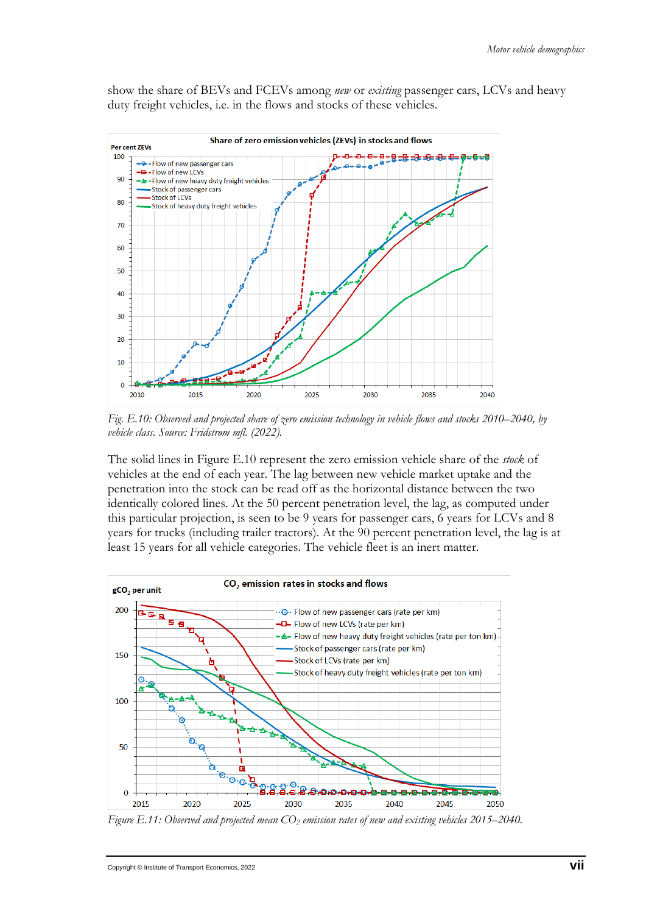show the share of BEVs and FCEVs among *new* or *existing* passenger cars, LCVs and heavy duty freight vehicles, i.e. in the flows and stocks of these vehicles.



*Fig. E.10: Observed and projected share of zero emission technology in vehicle flows and stocks 2010–2040, by vehicle class. Source: Fridstrøm mfl. (2022).*

The solid lines in Figure E.10 represent the zero emission vehicle share of the *stock* of vehicles at the end of each year. The lag between new vehicle market uptake and the penetration into the stock can be read off as the horizontal distance between the two identically colored lines. At the 50 percent penetration level, the lag, as computed under this particular projection, is seen to be 9 years for passenger cars, 6 years for LCVs and 8 years for trucks (including trailer tractors). At the 90 percent penetration level, the lag is at least 15 years for all vehicle categories. The vehicle fleet is an inert matter.



*Figure E.11: Observed and projected mean CO2 emission rates of new and existing vehicles 2015*–*2040.*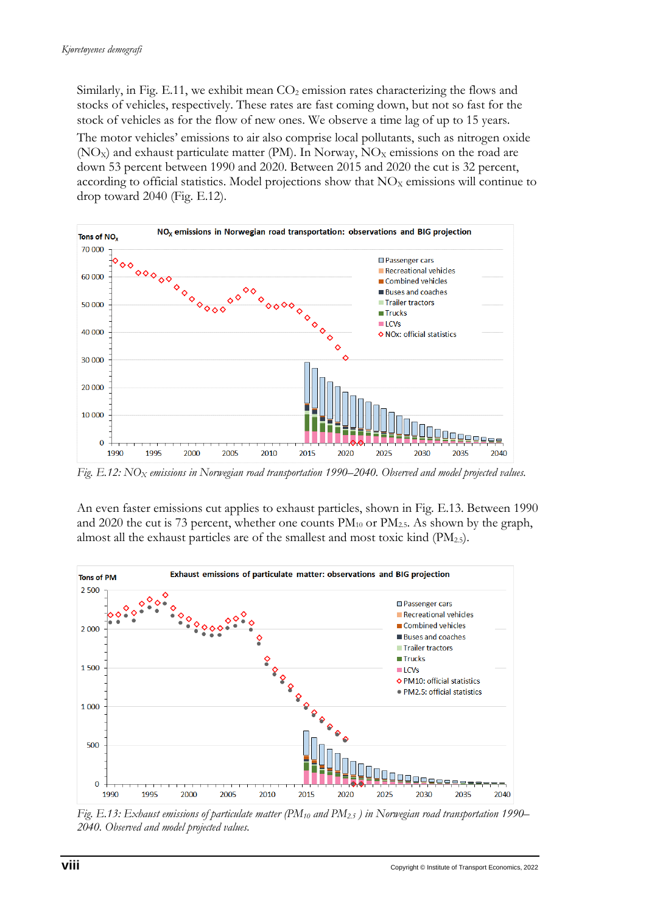Similarly, in Fig. E.11, we exhibit mean  $CO<sub>2</sub>$  emission rates characterizing the flows and stocks of vehicles, respectively. These rates are fast coming down, but not so fast for the stock of vehicles as for the flow of new ones. We observe a time lag of up to 15 years. The motor vehicles' emissions to air also comprise local pollutants, such as nitrogen oxide  $(NO_X)$  and exhaust particulate matter (PM). In Norway,  $NO_X$  emissions on the road are down 53 percent between 1990 and 2020. Between 2015 and 2020 the cut is 32 percent, according to official statistics. Model projections show that  $NO<sub>x</sub>$  emissions will continue to drop toward 2040 (Fig. E.12).



*Fig. E.12: NOX emissions in Norwegian road transportation 1990–2040. Observed and model projected values.* 

An even faster emissions cut applies to exhaust particles, shown in Fig. E.13. Between 1990 and 2020 the cut is 73 percent, whether one counts  $PM_{10}$  or  $PM_{2.5}$ . As shown by the graph, almost all the exhaust particles are of the smallest and most toxic kind (PM2.5).



*Fig. E.13: Exhaust emissions of particulate matter (PM10 and PM2.5 ) in Norwegian road transportation 1990– 2040. Observed and model projected values.*